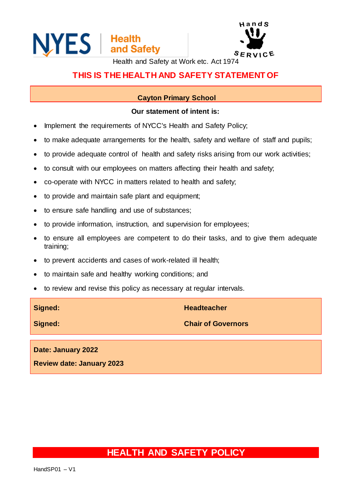



Health and Safety at Work etc. Act 1974

### **THIS IS THE HEALTH AND SAFETY STATEMENT OF**

#### **Cayton Primary School**

#### **Our statement of intent is:**

- Implement the requirements of NYCC's Health and Safety Policy;
- to make adequate arrangements for the health, safety and welfare of staff and pupils;
- to provide adequate control of health and safety risks arising from our work activities;
- to consult with our employees on matters affecting their health and safety;
- co-operate with NYCC in matters related to health and safety;
- to provide and maintain safe plant and equipment;
- to ensure safe handling and use of substances;
- to provide information, instruction, and supervision for employees;
- to ensure all employees are competent to do their tasks, and to give them adequate training;
- to prevent accidents and cases of work-related ill health;
- to maintain safe and healthy working conditions; and
- to review and revise this policy as necessary at regular intervals.

| Signed:                          | <b>Headteacher</b>        |
|----------------------------------|---------------------------|
| Signed:                          | <b>Chair of Governors</b> |
| Date: January 2022               |                           |
| <b>Review date: January 2023</b> |                           |

## **HEALTH AND SAFETY POLICY**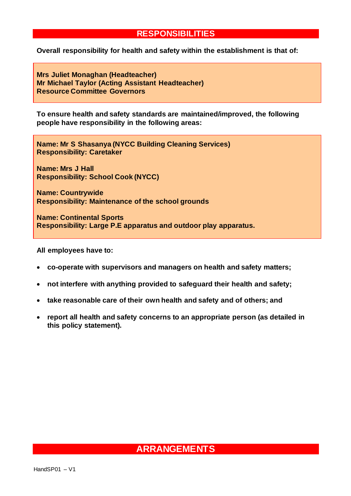### **RESPONSIBILITIES**

**Overall responsibility for health and safety within the establishment is that of:**

**Mrs Juliet Monaghan (Headteacher) Mr Michael Taylor (Acting Assistant Headteacher) Resource Committee Governors**

**To ensure health and safety standards are maintained/improved, the following people have responsibility in the following areas:**

**Name: Mr S Shasanya (NYCC Building Cleaning Services) Responsibility: Caretaker**

**Name: Mrs J Hall Responsibility: School Cook (NYCC)**

**Name: Countrywide Responsibility: Maintenance of the school grounds**

**Name: Continental Sports Responsibility: Large P.E apparatus and outdoor play apparatus.**

**All employees have to:**

- **co-operate with supervisors and managers on health and safety matters;**
- **not interfere with anything provided to safeguard their health and safety;**
- **take reasonable care of their own health and safety and of others; and**
- **report all health and safety concerns to an appropriate person (as detailed in this policy statement).**

## **ARRANGEMENTS**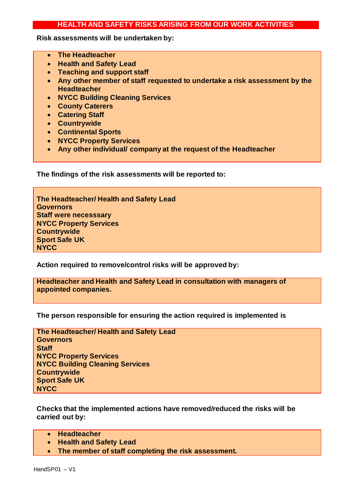#### **HEALTH AND SAFETY RISKS ARISING FROM OUR WORK ACTIVITIES**

**Risk assessments will be undertaken by:**

- **The Headteacher**
- **Health and Safety Lead**
- **Teaching and support staff**
- **Any other member of staff requested to undertake a risk assessment by the Headteacher**
- **NYCC Building Cleaning Services**
- **County Caterers**
- **Catering Staff**
- **Countrywide**
- **Continental Sports**
- **NYCC Property Services**
- **Any other individual/ company at the request of the Headteacher**

**The findings of the risk assessments will be reported to:**

**The Headteacher/ Health and Safety Lead Governors Staff were necesssary NYCC Property Services Countrywide Sport Safe UK NYCC**

**Action required to remove/control risks will be approved by:**

**Headteacher and Health and Safety Lead in consultation with managers of appointed companies.**

**The person responsible for ensuring the action required is implemented is**

| The Headteacher/ Health and Safety Lead |
|-----------------------------------------|
| <b>Governors</b>                        |
| <b>Staff</b>                            |
| <b>NYCC Property Services</b>           |
| <b>NYCC Building Cleaning Services</b>  |
| <b>Countrywide</b>                      |
| <b>Sport Safe UK</b>                    |
| <b>NYCC</b>                             |

**Checks that the implemented actions have removed/reduced the risks will be carried out by:**

- **Headteacher**
- **Health and Safety Lead**
- **The member of staff completing the risk assessment.**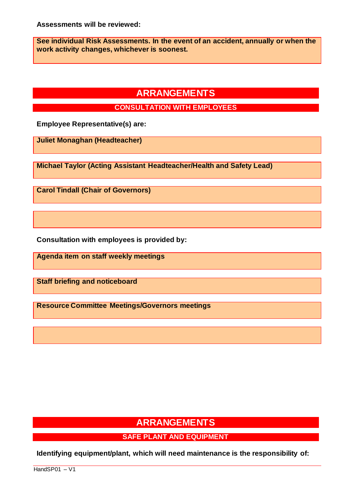**See individual Risk Assessments. In the event of an accident, annually or when the work activity changes, whichever is soonest.**

# **ARRANGEMENTS**

**CONSULTATION WITH EMPLOYEES**

**Employee Representative(s) are:**

**Juliet Monaghan (Headteacher)**

**Michael Taylor (Acting Assistant Headteacher/Health and Safety Lead)**

**Carol Tindall (Chair of Governors)**

**Consultation with employees is provided by:**

**Agenda item on staff weekly meetings**

**Staff briefing and noticeboard**

**Resource Committee Meetings/Governors meetings**

# **ARRANGEMENTS**

### **SAFE PLANT AND EQUIPMENT**

**Identifying equipment/plant, which will need maintenance is the responsibility of:**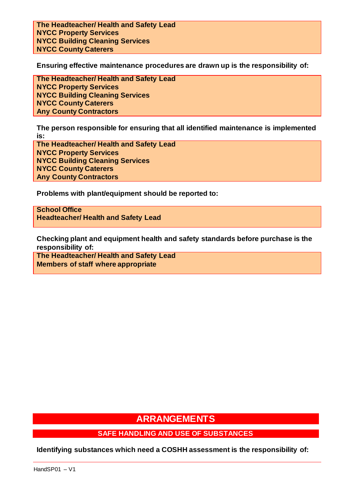**The Headteacher/ Health and Safety Lead NYCC Property Services NYCC Building Cleaning Services NYCC County Caterers**

**Ensuring effective maintenance procedures are drawn up is the responsibility of:**

**The Headteacher/ Health and Safety Lead NYCC Property Services NYCC Building Cleaning Services NYCC County Caterers Any County Contractors**

**The person responsible for ensuring that all identified maintenance is implemented is:**

**The Headteacher/ Health and Safety Lead NYCC Property Services NYCC Building Cleaning Services NYCC County Caterers Any County Contractors**

**Problems with plant/equipment should be reported to:** 

**School Office Headteacher/ Health and Safety Lead**

**Checking plant and equipment health and safety standards before purchase is the responsibility of:**

**The Headteacher/ Health and Safety Lead Members of staff where appropriate**

## **ARRANGEMENTS**

#### **SAFE HANDLING AND USE OF SUBSTANCES**

**Identifying substances which need a COSHH assessment is the responsibility of:**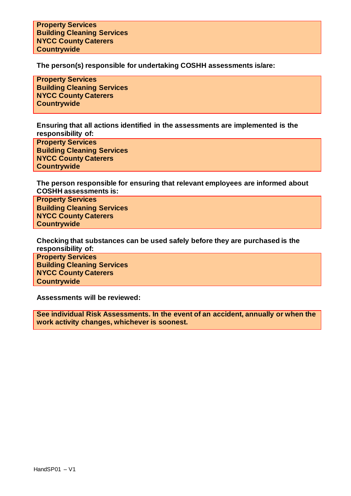**Property Services Building Cleaning Services NYCC County Caterers Countrywide**

**The person(s) responsible for undertaking COSHH assessments is/are:**

**Property Services Building Cleaning Services NYCC County Caterers Countrywide**

**Ensuring that all actions identified in the assessments are implemented is the responsibility of:**

**Property Services Building Cleaning Services NYCC County Caterers Countrywide**

**The person responsible for ensuring that relevant employees are informed about COSHH assessments is:**

**Property Services Building Cleaning Services NYCC County Caterers Countrywide**

**Checking that substances can be used safely before they are purchased is the responsibility of:**

**Property Services Building Cleaning Services NYCC County Caterers Countrywide**

**Assessments will be reviewed:**

**See individual Risk Assessments. In the event of an accident, annually or when the work activity changes, whichever is soonest.**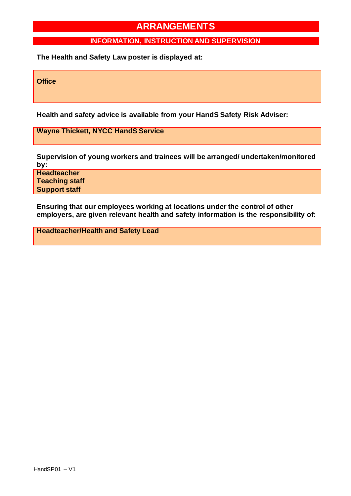### **INFORMATION, INSTRUCTION AND SUPERVISION**

**The Health and Safety Law poster is displayed at:**

**Office**

**Health and safety advice is available from your HandS Safety Risk Adviser:**

**Wayne Thickett, NYCC HandS Service**

**Supervision of young workers and trainees will be arranged/ undertaken/monitored by:**

**Headteacher Teaching staff Support staff**

**Ensuring that our employees working at locations under the control of other employers, are given relevant health and safety information is the responsibility of:**

**Headteacher/Health and Safety Lead**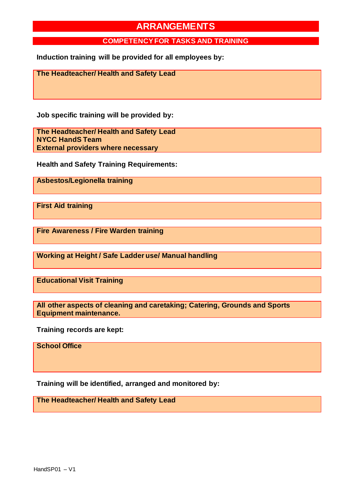#### **COMPETENCY FOR TASKS AND TRAINING**

**Induction training will be provided for all employees by:**

**The Headteacher/ Health and Safety Lead**

**Job specific training will be provided by:**

**The Headteacher/ Health and Safety Lead NYCC HandS Team External providers where necessary**

**Health and Safety Training Requirements:**

**Asbestos/Legionella training**

**First Aid training**

**Fire Awareness / Fire Warden training**

**Working at Height / Safe Ladder use/ Manual handling**

**Educational Visit Training** 

**All other aspects of cleaning and caretaking; Catering, Grounds and Sports Equipment maintenance.** 

**Training records are kept:**

**School Office**

**Training will be identified, arranged and monitored by:**

**The Headteacher/ Health and Safety Lead**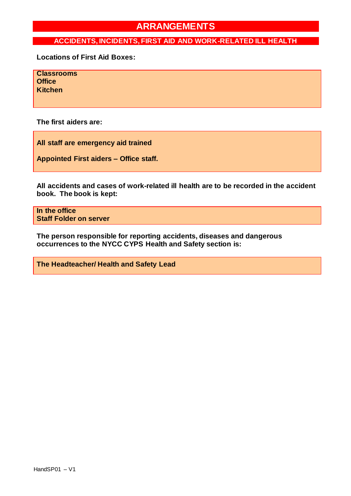### **ACCIDENTS, INCIDENTS, FIRST AID AND WORK-RELATED ILL HEALTH**

**Locations of First Aid Boxes:**

**Classrooms Office Kitchen**

**The first aiders are:**

**All staff are emergency aid trained**

**Appointed First aiders – Office staff.**

**All accidents and cases of work-related ill health are to be recorded in the accident book. The book is kept:**

**In the office Staff Folder on server**

**The person responsible for reporting accidents, diseases and dangerous occurrences to the NYCC CYPS Health and Safety section is:**

**The Headteacher/ Health and Safety Lead**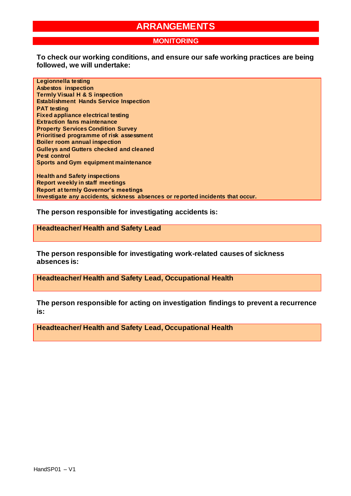#### **MONITORING**

**To check our working conditions, and ensure our safe working practices are being followed, we will undertake:**

**Legionnella testing Asbestos inspection Termly Visual H & S inspection Establishment Hands Service Inspection PAT testing Fixed appliance electrical testing Extraction fans maintenance Property Services Condition Survey Prioritised programme of risk assessment Boiler room annual inspection Gulleys and Gutters checked and cleaned Pest control Sports and Gym equipment maintenance**

**Health and Safety inspections Report weekly in staff meetings Report at termly Governor's meetings Investigate any accidents, sickness absences or reported incidents that occur.**

**The person responsible for investigating accidents is:**

**Headteacher/ Health and Safety Lead**

**The person responsible for investigating work-related causes of sickness absences is:**

**Headteacher/ Health and Safety Lead, Occupational Health**

**The person responsible for acting on investigation findings to prevent a recurrence is:**

**Headteacher/ Health and Safety Lead, Occupational Health**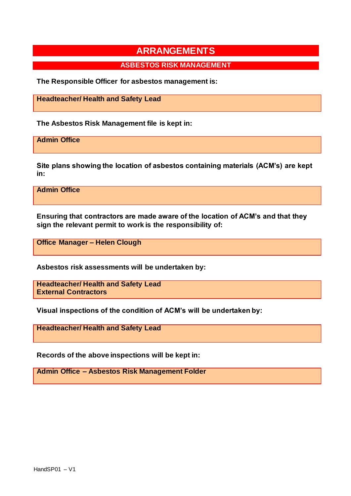### **ASBESTOS RISK MANAGEMENT**

**The Responsible Officer for asbestos management is:**

**Headteacher/ Health and Safety Lead**

**The Asbestos Risk Management file is kept in:**

**Admin Office**

**Site plans showing the location of asbestos containing materials (ACM's) are kept in:**

**Admin Office**

**Ensuring that contractors are made aware of the location of ACM's and that they sign the relevant permit to work is the responsibility of:**

**Office Manager – Helen Clough**

**Asbestos risk assessments will be undertaken by:**

**Headteacher/ Health and Safety Lead External Contractors**

**Visual inspections of the condition of ACM's will be undertaken by:**

**Headteacher/ Health and Safety Lead**

**Records of the above inspections will be kept in:**

**Admin Office – Asbestos Risk Management Folder**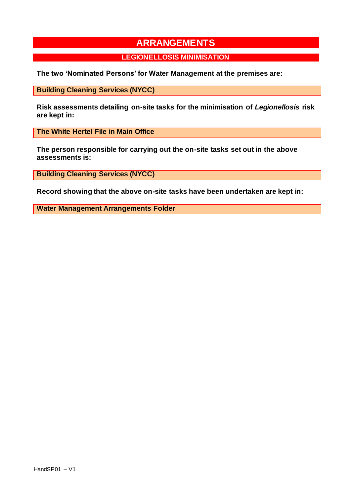#### **LEGIONELLOSIS MINIMISATION**

**The two 'Nominated Persons' for Water Management at the premises are:**

**Building Cleaning Services (NYCC)**

**Risk assessments detailing on-site tasks for the minimisation of** *Legionellosis* **risk are kept in:**

**The White Hertel File in Main Office**

**The person responsible for carrying out the on-site tasks set out in the above assessments is:**

**Building Cleaning Services (NYCC)**

**Record showing that the above on-site tasks have been undertaken are kept in:**

**Water Management Arrangements Folder**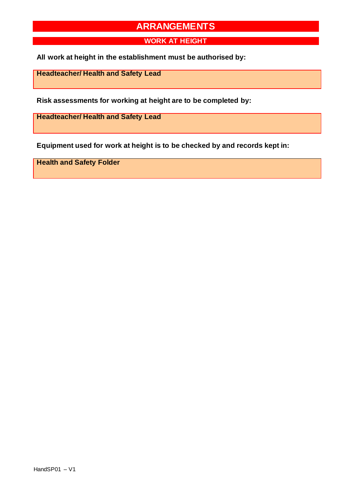**WORK AT HEIGHT**

**All work at height in the establishment must be authorised by:**

**Headteacher/ Health and Safety Lead**

**Risk assessments for working at height are to be completed by:**

**Headteacher/ Health and Safety Lead**

**Equipment used for work at height is to be checked by and records kept in:**

**Health and Safety Folder**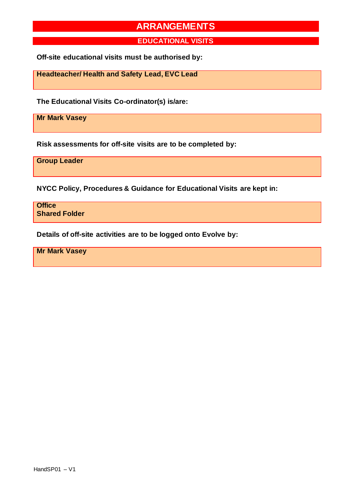**EDUCATIONAL VISITS**

**Off-site educational visits must be authorised by:**

**Headteacher/ Health and Safety Lead, EVC Lead**

**The Educational Visits Co-ordinator(s) is/are:**

**Mr Mark Vasey**

**Risk assessments for off-site visits are to be completed by:**

**Group Leader**

**NYCC Policy, Procedures & Guidance for Educational Visits are kept in:**

**Office Shared Folder**

**Details of off-site activities are to be logged onto Evolve by:**

**Mr Mark Vasey**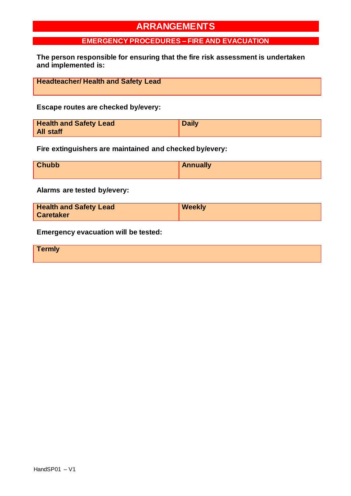### **EMERGENCY PROCEDURES – FIRE AND EVACUATION**

**The person responsible for ensuring that the fire risk assessment is undertaken and implemented is:**

| <b>Headteacher/ Health and Safety Lead</b> |  |
|--------------------------------------------|--|

#### **Escape routes are checked by/every:**

| <b>Health and Safety Lead</b> | <b>Daily</b> |
|-------------------------------|--------------|
| <b>All staff</b>              |              |

**Fire extinguishers are maintained and checked by/every:**

| <b>Chubb</b> | Annually |
|--------------|----------|
|              |          |

**Alarms are tested by/every:**

| <b>Health and Safety Lead</b> | <b>Weekly</b> |
|-------------------------------|---------------|
| <b>Caretaker</b>              |               |

**Emergency evacuation will be tested:**

**Termly**